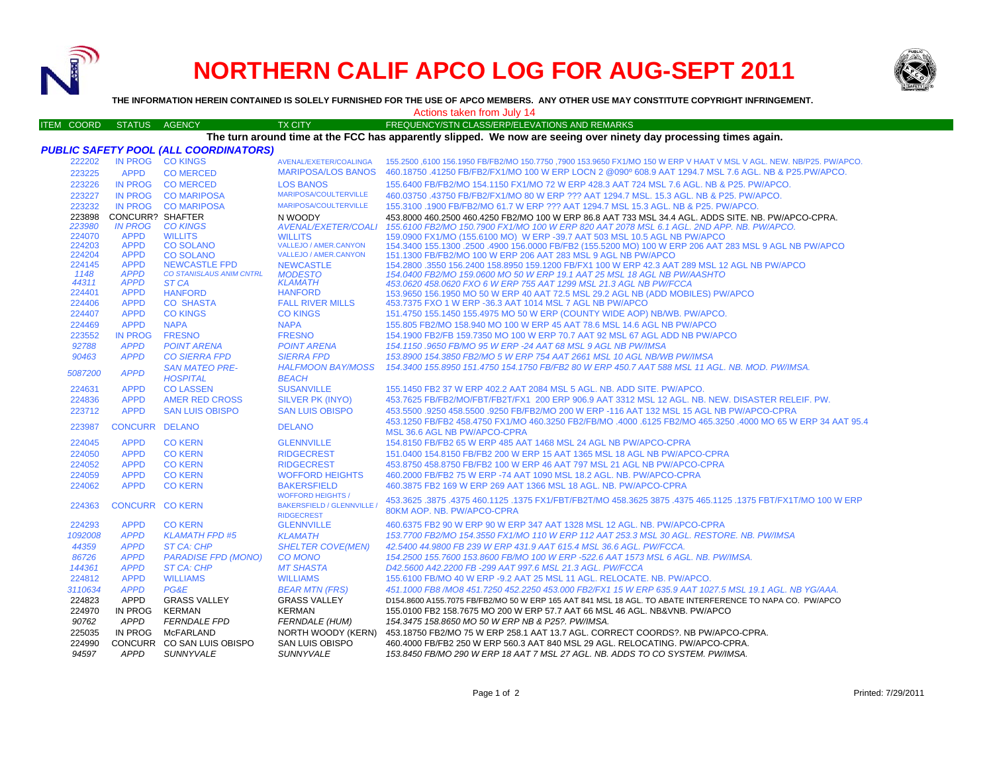

# **NORTHERN CALIF APCO LOG FOR AUG-SEPT 2011**



**THE INFORMATION HEREIN CONTAINED IS SOLELY FURNISHED FOR THE USE OF APCO MEMBERS. ANY OTHER USE MAY CONSTITUTE COPYRIGHT INFRINGEMENT.**

ITEM COORD STATUS AGENCY TX CITY FREQUENCY/STN CLASS/ERP/ELEVATIONS AND REMARKS Actions taken from July 14

## **The turn around time at the FCC has apparently slipped. We now are seeing over ninety day processing times again.**

| IN PROG CO KINGS<br>222202<br>155.2500 ,6100 156.1950 FB/FB2/MO 150.7750 ,7900 153.9650 FX1/MO 150 W ERP V HAAT V MSL V AGL. NEW. NB/P25. PW/APCO.<br>AVENAL/EXETER/COALINGA<br>460.18750 .41250 FB/FB2/FX1/MO 100 W ERP LOCN 2 @090° 608.9 AAT 1294.7 MSL 7.6 AGL. NB & P25.PW/APCO.<br><b>MARIPOSA/LOS BANOS</b><br>223225<br><b>APPD</b><br><b>CO MERCED</b><br>223226<br><b>IN PROG</b><br><b>CO MERCED</b><br><b>LOS BANOS</b><br>155.6400 FB/FB2/MO 154.1150 FX1/MO 72 W ERP 428.3 AAT 724 MSL 7.6 AGL, NB & P25, PW/APCO,<br><b>MARIPOSA/COULTERVILLE</b><br><b>IN PROG</b><br>223227<br><b>CO MARIPOSA</b><br>460.03750 .43750 FB/FB2/FX1/MO 80 W ERP ??? AAT 1294.7 MSL, 15.3 AGL, NB & P25, PW/APCO,<br><b>MARIPOSA/COULTERVILLE</b><br>223232<br>IN PROG CO MARIPOSA<br>155.3100 .1900 FB/FB2/MO 61.7 W ERP ??? AAT 1294.7 MSL 15.3 AGL, NB & P25, PW/APCO.<br>223898 CONCURR? SHAFTER<br>N WOODY<br>453.8000 460.2500 460.4250 FB2/MO 100 W ERP 86.8 AAT 733 MSL 34.4 AGL. ADDS SITE. NB. PW/APCO-CPRA.<br>223980<br><b>IN PROG</b><br><b>CO KINGS</b><br>155.6100 FB2/MO 150.7900 FX1/MO 100 W ERP 820 AAT 2078 MSL 6.1 AGL. 2ND APP. NB. PW/APCO.<br>AVENAL/EXETER/COALI<br><b>APPD</b><br>224070<br><b>WILLITS</b><br>159,0900 FX1/MO (155,6100 MO) W ERP -39,7 AAT 503 MSL 10.5 AGL NB PW/APCO<br><b>WILLITS</b><br>224203<br><b>APPD</b><br><b>CO SOLANO</b><br>VALLEJO / AMER.CANYON<br>154.3400 155.1300 .2500 .4900 156.0000 FB/FB2 (155.5200 MO) 100 W ERP 206 AAT 283 MSL 9 AGL NB PW/APCO<br><b>APPD</b><br><b>VALLEJO / AMER.CANYON</b><br>224204<br><b>CO SOLANO</b><br>151.1300 FB/FB2/MO 100 W ERP 206 AAT 283 MSL 9 AGL NB PW/APCO<br>224145<br><b>APPD</b><br><b>NEWCASTLE FPD</b><br>154.2800 .3550 156.2400 158.8950 159.1200 FB/FX1 100 W ERP 42.3 AAT 289 MSL 12 AGL NB PW/APCO<br><b>NEWCASTLE</b><br>1148<br><b>APPD</b><br><b>CO STANISLAUS ANIM CNTRL</b><br><b>MODESTO</b><br>154,0400 FB2/MO 159,0600 MO 50 W ERP 19.1 AAT 25 MSL 18 AGL NB PW/AASHTO<br>44311<br><b>APPD</b><br>ST CA<br><b>KLAMATH</b><br>453.0620 458.0620 FXO 6 W ERP 755 AAT 1299 MSL 21.3 AGL NB PW/FCCA<br>224401<br><b>APPD</b><br><b>HANFORD</b><br><b>HANFORD</b><br>153.9650 156.1950 MO 50 W ERP 40 AAT 72.5 MSL 29.2 AGL NB (ADD MOBILES) PW/APCO<br>224406<br><b>APPD</b><br><b>CO SHASTA</b><br><b>FALL RIVER MILLS</b><br>453.7375 FXO 1 W ERP -36.3 AAT 1014 MSL 7 AGL NB PW/APCO<br>224407<br><b>APPD</b><br><b>CO KINGS</b><br><b>CO KINGS</b><br>151.4750 155.1450 155.4975 MO 50 W ERP (COUNTY WIDE AOP) NB/WB. PW/APCO.<br>224469<br><b>APPD</b><br><b>NAPA</b><br><b>NAPA</b><br>155.805 FB2/MO 158.940 MO 100 W ERP 45 AAT 78.6 MSL 14.6 AGL NB PW/APCO<br>223552<br><b>IN PROG</b><br><b>FRESNO</b><br><b>FRESNO</b><br>154,1900 FB2/FB 159,7350 MO 100 W ERP 70,7 AAT 92 MSL 67 AGL ADD NB PW/APCO<br>92788<br><b>APPD</b><br><b>POINT ARENA</b><br><b>POINT ARENA</b><br>154.1150.9650 FB/MO 95 W ERP -24 AAT 68 MSL 9 AGL NB PW/IMSA<br>90463<br><b>APPD</b><br><b>CO SIERRA FPD</b><br><b>SIERRA FPD</b><br>153.8900 154.3850 FB2/MO 5 W ERP 754 AAT 2661 MSL 10 AGL NB/WB PW/IMSA<br><b>SAN MATEO PRE-</b><br><b>HALFMOON BAY/MOSS</b><br>154.3400 155.8950 151.4750 154.1750 FB/FB2 80 W ERP 450.7 AAT 588 MSL 11 AGL. NB. MOD. PW/IMSA.<br><b>APPD</b><br>5087200<br><b>HOSPITAL</b><br><b>BEACH</b><br><b>CO LASSEN</b><br><b>SUSANVILLE</b><br>224631<br><b>APPD</b><br>155.1450 FB2 37 W ERP 402.2 AAT 2084 MSL 5 AGL. NB. ADD SITE. PW/APCO.<br><b>APPD</b><br>224836<br>AMER RED CROSS<br>SILVER PK (INYO)<br>453.7625 FB/FB2/MO/FBT/FB2T/FX1 200 ERP 906.9 AAT 3312 MSL 12 AGL. NB. NEW. DISASTER RELEIF. PW.<br><b>APPD</b><br><b>SAN LUIS OBISPO</b><br>223712<br><b>SAN LUIS OBISPO</b><br>453,5500 .9250 458,5500 .9250 FB/FB2/MO 200 W ERP -116 AAT 132 MSL 15 AGL NB PW/APCO-CPRA<br>458.1250 FB/FB2 458.4750 FX1/MO 460.3250 FB2/FB/MO .4000 .6125 FB2/MO 465.3250 .4000 MO 65 W ERP 34 AAT 95.4<br>223987<br>CONCURR DELANO<br><b>DELANO</b><br>MSL 36.6 AGL NB PW/APCO-CPRA<br><b>CO KERN</b><br>154,8150 FB/FB2 65 W ERP 485 AAT 1468 MSL 24 AGL NB PW/APCO-CPRA<br>224045<br><b>APPD</b><br><b>GLENNVILLE</b><br>224050<br><b>APPD</b><br><b>CO KERN</b><br><b>RIDGECREST</b><br>151.0400 154.8150 FB/FB2 200 W ERP 15 AAT 1365 MSL 18 AGL NB PW/APCO-CPRA<br><b>CO KERN</b><br>224052<br><b>APPD</b><br><b>RIDGECREST</b><br>453.8750 458.8750 FB/FB2 100 W ERP 46 AAT 797 MSL 21 AGL NB PW/APCO-CPRA<br>224059<br><b>APPD</b><br><b>CO KERN</b><br><b>WOFFORD HEIGHTS</b><br>460.2000 FB/FB2 75 W ERP -74 AAT 1090 MSL 18.2 AGL, NB, PW/APCO-CPRA<br><b>APPD</b><br>224062<br><b>CO KERN</b><br><b>BAKERSFIELD</b><br>460.3875 FB2 169 W ERP 269 AAT 1366 MSL 18 AGL, NB, PW/APCO-CPRA<br><b>WOFFORD HEIGHTS /</b> |
|------------------------------------------------------------------------------------------------------------------------------------------------------------------------------------------------------------------------------------------------------------------------------------------------------------------------------------------------------------------------------------------------------------------------------------------------------------------------------------------------------------------------------------------------------------------------------------------------------------------------------------------------------------------------------------------------------------------------------------------------------------------------------------------------------------------------------------------------------------------------------------------------------------------------------------------------------------------------------------------------------------------------------------------------------------------------------------------------------------------------------------------------------------------------------------------------------------------------------------------------------------------------------------------------------------------------------------------------------------------------------------------------------------------------------------------------------------------------------------------------------------------------------------------------------------------------------------------------------------------------------------------------------------------------------------------------------------------------------------------------------------------------------------------------------------------------------------------------------------------------------------------------------------------------------------------------------------------------------------------------------------------------------------------------------------------------------------------------------------------------------------------------------------------------------------------------------------------------------------------------------------------------------------------------------------------------------------------------------------------------------------------------------------------------------------------------------------------------------------------------------------------------------------------------------------------------------------------------------------------------------------------------------------------------------------------------------------------------------------------------------------------------------------------------------------------------------------------------------------------------------------------------------------------------------------------------------------------------------------------------------------------------------------------------------------------------------------------------------------------------------------------------------------------------------------------------------------------------------------------------------------------------------------------------------------------------------------------------------------------------------------------------------------------------------------------------------------------------------------------------------------------------------------------------------------------------------------------------------------------------------------------------------------------------------------------------------------------------------------------------------------------------------------------------------------------------------------------------------------------------------------------------------------------------------------------------------------------------------------------------------------------------------------------------------------------------------------------------------------------------------------------------------------------------------------------------------------------------------------------------------------------------------------------------------------------------------------------------------------------------------------------------------------------------------------------------------------------------------------------------------------------------------------------------------------------------------------------------------------------------------------------------------------------------------------------------------------------------------------------------------------------------------|
|                                                                                                                                                                                                                                                                                                                                                                                                                                                                                                                                                                                                                                                                                                                                                                                                                                                                                                                                                                                                                                                                                                                                                                                                                                                                                                                                                                                                                                                                                                                                                                                                                                                                                                                                                                                                                                                                                                                                                                                                                                                                                                                                                                                                                                                                                                                                                                                                                                                                                                                                                                                                                                                                                                                                                                                                                                                                                                                                                                                                                                                                                                                                                                                                                                                                                                                                                                                                                                                                                                                                                                                                                                                                                                                                                                                                                                                                                                                                                                                                                                                                                                                                                                                                                                                                                                                                                                                                                                                                                                                                                                                                                                                                                                                                                                              |
|                                                                                                                                                                                                                                                                                                                                                                                                                                                                                                                                                                                                                                                                                                                                                                                                                                                                                                                                                                                                                                                                                                                                                                                                                                                                                                                                                                                                                                                                                                                                                                                                                                                                                                                                                                                                                                                                                                                                                                                                                                                                                                                                                                                                                                                                                                                                                                                                                                                                                                                                                                                                                                                                                                                                                                                                                                                                                                                                                                                                                                                                                                                                                                                                                                                                                                                                                                                                                                                                                                                                                                                                                                                                                                                                                                                                                                                                                                                                                                                                                                                                                                                                                                                                                                                                                                                                                                                                                                                                                                                                                                                                                                                                                                                                                                              |
|                                                                                                                                                                                                                                                                                                                                                                                                                                                                                                                                                                                                                                                                                                                                                                                                                                                                                                                                                                                                                                                                                                                                                                                                                                                                                                                                                                                                                                                                                                                                                                                                                                                                                                                                                                                                                                                                                                                                                                                                                                                                                                                                                                                                                                                                                                                                                                                                                                                                                                                                                                                                                                                                                                                                                                                                                                                                                                                                                                                                                                                                                                                                                                                                                                                                                                                                                                                                                                                                                                                                                                                                                                                                                                                                                                                                                                                                                                                                                                                                                                                                                                                                                                                                                                                                                                                                                                                                                                                                                                                                                                                                                                                                                                                                                                              |
|                                                                                                                                                                                                                                                                                                                                                                                                                                                                                                                                                                                                                                                                                                                                                                                                                                                                                                                                                                                                                                                                                                                                                                                                                                                                                                                                                                                                                                                                                                                                                                                                                                                                                                                                                                                                                                                                                                                                                                                                                                                                                                                                                                                                                                                                                                                                                                                                                                                                                                                                                                                                                                                                                                                                                                                                                                                                                                                                                                                                                                                                                                                                                                                                                                                                                                                                                                                                                                                                                                                                                                                                                                                                                                                                                                                                                                                                                                                                                                                                                                                                                                                                                                                                                                                                                                                                                                                                                                                                                                                                                                                                                                                                                                                                                                              |
|                                                                                                                                                                                                                                                                                                                                                                                                                                                                                                                                                                                                                                                                                                                                                                                                                                                                                                                                                                                                                                                                                                                                                                                                                                                                                                                                                                                                                                                                                                                                                                                                                                                                                                                                                                                                                                                                                                                                                                                                                                                                                                                                                                                                                                                                                                                                                                                                                                                                                                                                                                                                                                                                                                                                                                                                                                                                                                                                                                                                                                                                                                                                                                                                                                                                                                                                                                                                                                                                                                                                                                                                                                                                                                                                                                                                                                                                                                                                                                                                                                                                                                                                                                                                                                                                                                                                                                                                                                                                                                                                                                                                                                                                                                                                                                              |
|                                                                                                                                                                                                                                                                                                                                                                                                                                                                                                                                                                                                                                                                                                                                                                                                                                                                                                                                                                                                                                                                                                                                                                                                                                                                                                                                                                                                                                                                                                                                                                                                                                                                                                                                                                                                                                                                                                                                                                                                                                                                                                                                                                                                                                                                                                                                                                                                                                                                                                                                                                                                                                                                                                                                                                                                                                                                                                                                                                                                                                                                                                                                                                                                                                                                                                                                                                                                                                                                                                                                                                                                                                                                                                                                                                                                                                                                                                                                                                                                                                                                                                                                                                                                                                                                                                                                                                                                                                                                                                                                                                                                                                                                                                                                                                              |
|                                                                                                                                                                                                                                                                                                                                                                                                                                                                                                                                                                                                                                                                                                                                                                                                                                                                                                                                                                                                                                                                                                                                                                                                                                                                                                                                                                                                                                                                                                                                                                                                                                                                                                                                                                                                                                                                                                                                                                                                                                                                                                                                                                                                                                                                                                                                                                                                                                                                                                                                                                                                                                                                                                                                                                                                                                                                                                                                                                                                                                                                                                                                                                                                                                                                                                                                                                                                                                                                                                                                                                                                                                                                                                                                                                                                                                                                                                                                                                                                                                                                                                                                                                                                                                                                                                                                                                                                                                                                                                                                                                                                                                                                                                                                                                              |
|                                                                                                                                                                                                                                                                                                                                                                                                                                                                                                                                                                                                                                                                                                                                                                                                                                                                                                                                                                                                                                                                                                                                                                                                                                                                                                                                                                                                                                                                                                                                                                                                                                                                                                                                                                                                                                                                                                                                                                                                                                                                                                                                                                                                                                                                                                                                                                                                                                                                                                                                                                                                                                                                                                                                                                                                                                                                                                                                                                                                                                                                                                                                                                                                                                                                                                                                                                                                                                                                                                                                                                                                                                                                                                                                                                                                                                                                                                                                                                                                                                                                                                                                                                                                                                                                                                                                                                                                                                                                                                                                                                                                                                                                                                                                                                              |
|                                                                                                                                                                                                                                                                                                                                                                                                                                                                                                                                                                                                                                                                                                                                                                                                                                                                                                                                                                                                                                                                                                                                                                                                                                                                                                                                                                                                                                                                                                                                                                                                                                                                                                                                                                                                                                                                                                                                                                                                                                                                                                                                                                                                                                                                                                                                                                                                                                                                                                                                                                                                                                                                                                                                                                                                                                                                                                                                                                                                                                                                                                                                                                                                                                                                                                                                                                                                                                                                                                                                                                                                                                                                                                                                                                                                                                                                                                                                                                                                                                                                                                                                                                                                                                                                                                                                                                                                                                                                                                                                                                                                                                                                                                                                                                              |
|                                                                                                                                                                                                                                                                                                                                                                                                                                                                                                                                                                                                                                                                                                                                                                                                                                                                                                                                                                                                                                                                                                                                                                                                                                                                                                                                                                                                                                                                                                                                                                                                                                                                                                                                                                                                                                                                                                                                                                                                                                                                                                                                                                                                                                                                                                                                                                                                                                                                                                                                                                                                                                                                                                                                                                                                                                                                                                                                                                                                                                                                                                                                                                                                                                                                                                                                                                                                                                                                                                                                                                                                                                                                                                                                                                                                                                                                                                                                                                                                                                                                                                                                                                                                                                                                                                                                                                                                                                                                                                                                                                                                                                                                                                                                                                              |
|                                                                                                                                                                                                                                                                                                                                                                                                                                                                                                                                                                                                                                                                                                                                                                                                                                                                                                                                                                                                                                                                                                                                                                                                                                                                                                                                                                                                                                                                                                                                                                                                                                                                                                                                                                                                                                                                                                                                                                                                                                                                                                                                                                                                                                                                                                                                                                                                                                                                                                                                                                                                                                                                                                                                                                                                                                                                                                                                                                                                                                                                                                                                                                                                                                                                                                                                                                                                                                                                                                                                                                                                                                                                                                                                                                                                                                                                                                                                                                                                                                                                                                                                                                                                                                                                                                                                                                                                                                                                                                                                                                                                                                                                                                                                                                              |
|                                                                                                                                                                                                                                                                                                                                                                                                                                                                                                                                                                                                                                                                                                                                                                                                                                                                                                                                                                                                                                                                                                                                                                                                                                                                                                                                                                                                                                                                                                                                                                                                                                                                                                                                                                                                                                                                                                                                                                                                                                                                                                                                                                                                                                                                                                                                                                                                                                                                                                                                                                                                                                                                                                                                                                                                                                                                                                                                                                                                                                                                                                                                                                                                                                                                                                                                                                                                                                                                                                                                                                                                                                                                                                                                                                                                                                                                                                                                                                                                                                                                                                                                                                                                                                                                                                                                                                                                                                                                                                                                                                                                                                                                                                                                                                              |
|                                                                                                                                                                                                                                                                                                                                                                                                                                                                                                                                                                                                                                                                                                                                                                                                                                                                                                                                                                                                                                                                                                                                                                                                                                                                                                                                                                                                                                                                                                                                                                                                                                                                                                                                                                                                                                                                                                                                                                                                                                                                                                                                                                                                                                                                                                                                                                                                                                                                                                                                                                                                                                                                                                                                                                                                                                                                                                                                                                                                                                                                                                                                                                                                                                                                                                                                                                                                                                                                                                                                                                                                                                                                                                                                                                                                                                                                                                                                                                                                                                                                                                                                                                                                                                                                                                                                                                                                                                                                                                                                                                                                                                                                                                                                                                              |
|                                                                                                                                                                                                                                                                                                                                                                                                                                                                                                                                                                                                                                                                                                                                                                                                                                                                                                                                                                                                                                                                                                                                                                                                                                                                                                                                                                                                                                                                                                                                                                                                                                                                                                                                                                                                                                                                                                                                                                                                                                                                                                                                                                                                                                                                                                                                                                                                                                                                                                                                                                                                                                                                                                                                                                                                                                                                                                                                                                                                                                                                                                                                                                                                                                                                                                                                                                                                                                                                                                                                                                                                                                                                                                                                                                                                                                                                                                                                                                                                                                                                                                                                                                                                                                                                                                                                                                                                                                                                                                                                                                                                                                                                                                                                                                              |
|                                                                                                                                                                                                                                                                                                                                                                                                                                                                                                                                                                                                                                                                                                                                                                                                                                                                                                                                                                                                                                                                                                                                                                                                                                                                                                                                                                                                                                                                                                                                                                                                                                                                                                                                                                                                                                                                                                                                                                                                                                                                                                                                                                                                                                                                                                                                                                                                                                                                                                                                                                                                                                                                                                                                                                                                                                                                                                                                                                                                                                                                                                                                                                                                                                                                                                                                                                                                                                                                                                                                                                                                                                                                                                                                                                                                                                                                                                                                                                                                                                                                                                                                                                                                                                                                                                                                                                                                                                                                                                                                                                                                                                                                                                                                                                              |
|                                                                                                                                                                                                                                                                                                                                                                                                                                                                                                                                                                                                                                                                                                                                                                                                                                                                                                                                                                                                                                                                                                                                                                                                                                                                                                                                                                                                                                                                                                                                                                                                                                                                                                                                                                                                                                                                                                                                                                                                                                                                                                                                                                                                                                                                                                                                                                                                                                                                                                                                                                                                                                                                                                                                                                                                                                                                                                                                                                                                                                                                                                                                                                                                                                                                                                                                                                                                                                                                                                                                                                                                                                                                                                                                                                                                                                                                                                                                                                                                                                                                                                                                                                                                                                                                                                                                                                                                                                                                                                                                                                                                                                                                                                                                                                              |
|                                                                                                                                                                                                                                                                                                                                                                                                                                                                                                                                                                                                                                                                                                                                                                                                                                                                                                                                                                                                                                                                                                                                                                                                                                                                                                                                                                                                                                                                                                                                                                                                                                                                                                                                                                                                                                                                                                                                                                                                                                                                                                                                                                                                                                                                                                                                                                                                                                                                                                                                                                                                                                                                                                                                                                                                                                                                                                                                                                                                                                                                                                                                                                                                                                                                                                                                                                                                                                                                                                                                                                                                                                                                                                                                                                                                                                                                                                                                                                                                                                                                                                                                                                                                                                                                                                                                                                                                                                                                                                                                                                                                                                                                                                                                                                              |
|                                                                                                                                                                                                                                                                                                                                                                                                                                                                                                                                                                                                                                                                                                                                                                                                                                                                                                                                                                                                                                                                                                                                                                                                                                                                                                                                                                                                                                                                                                                                                                                                                                                                                                                                                                                                                                                                                                                                                                                                                                                                                                                                                                                                                                                                                                                                                                                                                                                                                                                                                                                                                                                                                                                                                                                                                                                                                                                                                                                                                                                                                                                                                                                                                                                                                                                                                                                                                                                                                                                                                                                                                                                                                                                                                                                                                                                                                                                                                                                                                                                                                                                                                                                                                                                                                                                                                                                                                                                                                                                                                                                                                                                                                                                                                                              |
|                                                                                                                                                                                                                                                                                                                                                                                                                                                                                                                                                                                                                                                                                                                                                                                                                                                                                                                                                                                                                                                                                                                                                                                                                                                                                                                                                                                                                                                                                                                                                                                                                                                                                                                                                                                                                                                                                                                                                                                                                                                                                                                                                                                                                                                                                                                                                                                                                                                                                                                                                                                                                                                                                                                                                                                                                                                                                                                                                                                                                                                                                                                                                                                                                                                                                                                                                                                                                                                                                                                                                                                                                                                                                                                                                                                                                                                                                                                                                                                                                                                                                                                                                                                                                                                                                                                                                                                                                                                                                                                                                                                                                                                                                                                                                                              |
|                                                                                                                                                                                                                                                                                                                                                                                                                                                                                                                                                                                                                                                                                                                                                                                                                                                                                                                                                                                                                                                                                                                                                                                                                                                                                                                                                                                                                                                                                                                                                                                                                                                                                                                                                                                                                                                                                                                                                                                                                                                                                                                                                                                                                                                                                                                                                                                                                                                                                                                                                                                                                                                                                                                                                                                                                                                                                                                                                                                                                                                                                                                                                                                                                                                                                                                                                                                                                                                                                                                                                                                                                                                                                                                                                                                                                                                                                                                                                                                                                                                                                                                                                                                                                                                                                                                                                                                                                                                                                                                                                                                                                                                                                                                                                                              |
|                                                                                                                                                                                                                                                                                                                                                                                                                                                                                                                                                                                                                                                                                                                                                                                                                                                                                                                                                                                                                                                                                                                                                                                                                                                                                                                                                                                                                                                                                                                                                                                                                                                                                                                                                                                                                                                                                                                                                                                                                                                                                                                                                                                                                                                                                                                                                                                                                                                                                                                                                                                                                                                                                                                                                                                                                                                                                                                                                                                                                                                                                                                                                                                                                                                                                                                                                                                                                                                                                                                                                                                                                                                                                                                                                                                                                                                                                                                                                                                                                                                                                                                                                                                                                                                                                                                                                                                                                                                                                                                                                                                                                                                                                                                                                                              |
|                                                                                                                                                                                                                                                                                                                                                                                                                                                                                                                                                                                                                                                                                                                                                                                                                                                                                                                                                                                                                                                                                                                                                                                                                                                                                                                                                                                                                                                                                                                                                                                                                                                                                                                                                                                                                                                                                                                                                                                                                                                                                                                                                                                                                                                                                                                                                                                                                                                                                                                                                                                                                                                                                                                                                                                                                                                                                                                                                                                                                                                                                                                                                                                                                                                                                                                                                                                                                                                                                                                                                                                                                                                                                                                                                                                                                                                                                                                                                                                                                                                                                                                                                                                                                                                                                                                                                                                                                                                                                                                                                                                                                                                                                                                                                                              |
|                                                                                                                                                                                                                                                                                                                                                                                                                                                                                                                                                                                                                                                                                                                                                                                                                                                                                                                                                                                                                                                                                                                                                                                                                                                                                                                                                                                                                                                                                                                                                                                                                                                                                                                                                                                                                                                                                                                                                                                                                                                                                                                                                                                                                                                                                                                                                                                                                                                                                                                                                                                                                                                                                                                                                                                                                                                                                                                                                                                                                                                                                                                                                                                                                                                                                                                                                                                                                                                                                                                                                                                                                                                                                                                                                                                                                                                                                                                                                                                                                                                                                                                                                                                                                                                                                                                                                                                                                                                                                                                                                                                                                                                                                                                                                                              |
|                                                                                                                                                                                                                                                                                                                                                                                                                                                                                                                                                                                                                                                                                                                                                                                                                                                                                                                                                                                                                                                                                                                                                                                                                                                                                                                                                                                                                                                                                                                                                                                                                                                                                                                                                                                                                                                                                                                                                                                                                                                                                                                                                                                                                                                                                                                                                                                                                                                                                                                                                                                                                                                                                                                                                                                                                                                                                                                                                                                                                                                                                                                                                                                                                                                                                                                                                                                                                                                                                                                                                                                                                                                                                                                                                                                                                                                                                                                                                                                                                                                                                                                                                                                                                                                                                                                                                                                                                                                                                                                                                                                                                                                                                                                                                                              |
|                                                                                                                                                                                                                                                                                                                                                                                                                                                                                                                                                                                                                                                                                                                                                                                                                                                                                                                                                                                                                                                                                                                                                                                                                                                                                                                                                                                                                                                                                                                                                                                                                                                                                                                                                                                                                                                                                                                                                                                                                                                                                                                                                                                                                                                                                                                                                                                                                                                                                                                                                                                                                                                                                                                                                                                                                                                                                                                                                                                                                                                                                                                                                                                                                                                                                                                                                                                                                                                                                                                                                                                                                                                                                                                                                                                                                                                                                                                                                                                                                                                                                                                                                                                                                                                                                                                                                                                                                                                                                                                                                                                                                                                                                                                                                                              |
|                                                                                                                                                                                                                                                                                                                                                                                                                                                                                                                                                                                                                                                                                                                                                                                                                                                                                                                                                                                                                                                                                                                                                                                                                                                                                                                                                                                                                                                                                                                                                                                                                                                                                                                                                                                                                                                                                                                                                                                                                                                                                                                                                                                                                                                                                                                                                                                                                                                                                                                                                                                                                                                                                                                                                                                                                                                                                                                                                                                                                                                                                                                                                                                                                                                                                                                                                                                                                                                                                                                                                                                                                                                                                                                                                                                                                                                                                                                                                                                                                                                                                                                                                                                                                                                                                                                                                                                                                                                                                                                                                                                                                                                                                                                                                                              |
|                                                                                                                                                                                                                                                                                                                                                                                                                                                                                                                                                                                                                                                                                                                                                                                                                                                                                                                                                                                                                                                                                                                                                                                                                                                                                                                                                                                                                                                                                                                                                                                                                                                                                                                                                                                                                                                                                                                                                                                                                                                                                                                                                                                                                                                                                                                                                                                                                                                                                                                                                                                                                                                                                                                                                                                                                                                                                                                                                                                                                                                                                                                                                                                                                                                                                                                                                                                                                                                                                                                                                                                                                                                                                                                                                                                                                                                                                                                                                                                                                                                                                                                                                                                                                                                                                                                                                                                                                                                                                                                                                                                                                                                                                                                                                                              |
|                                                                                                                                                                                                                                                                                                                                                                                                                                                                                                                                                                                                                                                                                                                                                                                                                                                                                                                                                                                                                                                                                                                                                                                                                                                                                                                                                                                                                                                                                                                                                                                                                                                                                                                                                                                                                                                                                                                                                                                                                                                                                                                                                                                                                                                                                                                                                                                                                                                                                                                                                                                                                                                                                                                                                                                                                                                                                                                                                                                                                                                                                                                                                                                                                                                                                                                                                                                                                                                                                                                                                                                                                                                                                                                                                                                                                                                                                                                                                                                                                                                                                                                                                                                                                                                                                                                                                                                                                                                                                                                                                                                                                                                                                                                                                                              |
|                                                                                                                                                                                                                                                                                                                                                                                                                                                                                                                                                                                                                                                                                                                                                                                                                                                                                                                                                                                                                                                                                                                                                                                                                                                                                                                                                                                                                                                                                                                                                                                                                                                                                                                                                                                                                                                                                                                                                                                                                                                                                                                                                                                                                                                                                                                                                                                                                                                                                                                                                                                                                                                                                                                                                                                                                                                                                                                                                                                                                                                                                                                                                                                                                                                                                                                                                                                                                                                                                                                                                                                                                                                                                                                                                                                                                                                                                                                                                                                                                                                                                                                                                                                                                                                                                                                                                                                                                                                                                                                                                                                                                                                                                                                                                                              |
|                                                                                                                                                                                                                                                                                                                                                                                                                                                                                                                                                                                                                                                                                                                                                                                                                                                                                                                                                                                                                                                                                                                                                                                                                                                                                                                                                                                                                                                                                                                                                                                                                                                                                                                                                                                                                                                                                                                                                                                                                                                                                                                                                                                                                                                                                                                                                                                                                                                                                                                                                                                                                                                                                                                                                                                                                                                                                                                                                                                                                                                                                                                                                                                                                                                                                                                                                                                                                                                                                                                                                                                                                                                                                                                                                                                                                                                                                                                                                                                                                                                                                                                                                                                                                                                                                                                                                                                                                                                                                                                                                                                                                                                                                                                                                                              |
|                                                                                                                                                                                                                                                                                                                                                                                                                                                                                                                                                                                                                                                                                                                                                                                                                                                                                                                                                                                                                                                                                                                                                                                                                                                                                                                                                                                                                                                                                                                                                                                                                                                                                                                                                                                                                                                                                                                                                                                                                                                                                                                                                                                                                                                                                                                                                                                                                                                                                                                                                                                                                                                                                                                                                                                                                                                                                                                                                                                                                                                                                                                                                                                                                                                                                                                                                                                                                                                                                                                                                                                                                                                                                                                                                                                                                                                                                                                                                                                                                                                                                                                                                                                                                                                                                                                                                                                                                                                                                                                                                                                                                                                                                                                                                                              |
| 453.3625 .3875 .4375 460.1125 .1275 FX1/FBT/FB2T/MO 458.3625 3875 .4375 465.1125 .1375 FBT/FX1T/MO 100 W ERP                                                                                                                                                                                                                                                                                                                                                                                                                                                                                                                                                                                                                                                                                                                                                                                                                                                                                                                                                                                                                                                                                                                                                                                                                                                                                                                                                                                                                                                                                                                                                                                                                                                                                                                                                                                                                                                                                                                                                                                                                                                                                                                                                                                                                                                                                                                                                                                                                                                                                                                                                                                                                                                                                                                                                                                                                                                                                                                                                                                                                                                                                                                                                                                                                                                                                                                                                                                                                                                                                                                                                                                                                                                                                                                                                                                                                                                                                                                                                                                                                                                                                                                                                                                                                                                                                                                                                                                                                                                                                                                                                                                                                                                                 |
| <b>BAKERSFIELD / GLENNVILLE /</b><br>224363<br><b>CONCURR CO KERN</b><br>80KM AOP. NB. PW/APCO-CPRA                                                                                                                                                                                                                                                                                                                                                                                                                                                                                                                                                                                                                                                                                                                                                                                                                                                                                                                                                                                                                                                                                                                                                                                                                                                                                                                                                                                                                                                                                                                                                                                                                                                                                                                                                                                                                                                                                                                                                                                                                                                                                                                                                                                                                                                                                                                                                                                                                                                                                                                                                                                                                                                                                                                                                                                                                                                                                                                                                                                                                                                                                                                                                                                                                                                                                                                                                                                                                                                                                                                                                                                                                                                                                                                                                                                                                                                                                                                                                                                                                                                                                                                                                                                                                                                                                                                                                                                                                                                                                                                                                                                                                                                                          |
| <b>RIDGECREST</b>                                                                                                                                                                                                                                                                                                                                                                                                                                                                                                                                                                                                                                                                                                                                                                                                                                                                                                                                                                                                                                                                                                                                                                                                                                                                                                                                                                                                                                                                                                                                                                                                                                                                                                                                                                                                                                                                                                                                                                                                                                                                                                                                                                                                                                                                                                                                                                                                                                                                                                                                                                                                                                                                                                                                                                                                                                                                                                                                                                                                                                                                                                                                                                                                                                                                                                                                                                                                                                                                                                                                                                                                                                                                                                                                                                                                                                                                                                                                                                                                                                                                                                                                                                                                                                                                                                                                                                                                                                                                                                                                                                                                                                                                                                                                                            |
| <b>CO KERN</b><br>460.6375 FB2 90 W ERP 90 W ERP 347 AAT 1328 MSL 12 AGL. NB. PW/APCO-CPRA<br>224293<br><b>APPD</b><br><b>GLENNVILLE</b>                                                                                                                                                                                                                                                                                                                                                                                                                                                                                                                                                                                                                                                                                                                                                                                                                                                                                                                                                                                                                                                                                                                                                                                                                                                                                                                                                                                                                                                                                                                                                                                                                                                                                                                                                                                                                                                                                                                                                                                                                                                                                                                                                                                                                                                                                                                                                                                                                                                                                                                                                                                                                                                                                                                                                                                                                                                                                                                                                                                                                                                                                                                                                                                                                                                                                                                                                                                                                                                                                                                                                                                                                                                                                                                                                                                                                                                                                                                                                                                                                                                                                                                                                                                                                                                                                                                                                                                                                                                                                                                                                                                                                                     |
| 1092008<br><b>APPD</b><br><b>KLAMATH</b><br>153.7700 FB2/MO 154.3550 FX1/MO 110 W ERP 112 AAT 253.3 MSL 30 AGL. RESTORE, NB, PW/IMSA<br><b>KLAMATH FPD #5</b>                                                                                                                                                                                                                                                                                                                                                                                                                                                                                                                                                                                                                                                                                                                                                                                                                                                                                                                                                                                                                                                                                                                                                                                                                                                                                                                                                                                                                                                                                                                                                                                                                                                                                                                                                                                                                                                                                                                                                                                                                                                                                                                                                                                                                                                                                                                                                                                                                                                                                                                                                                                                                                                                                                                                                                                                                                                                                                                                                                                                                                                                                                                                                                                                                                                                                                                                                                                                                                                                                                                                                                                                                                                                                                                                                                                                                                                                                                                                                                                                                                                                                                                                                                                                                                                                                                                                                                                                                                                                                                                                                                                                                |
| 44359<br><b>APPD</b><br><b>ST CA: CHP</b><br><b>SHELTER COVE(MEN)</b><br>42.5400 44.9800 FB 239 W ERP 431.9 AAT 615.4 MSL 36.6 AGL, PW/FCCA.                                                                                                                                                                                                                                                                                                                                                                                                                                                                                                                                                                                                                                                                                                                                                                                                                                                                                                                                                                                                                                                                                                                                                                                                                                                                                                                                                                                                                                                                                                                                                                                                                                                                                                                                                                                                                                                                                                                                                                                                                                                                                                                                                                                                                                                                                                                                                                                                                                                                                                                                                                                                                                                                                                                                                                                                                                                                                                                                                                                                                                                                                                                                                                                                                                                                                                                                                                                                                                                                                                                                                                                                                                                                                                                                                                                                                                                                                                                                                                                                                                                                                                                                                                                                                                                                                                                                                                                                                                                                                                                                                                                                                                 |
| 86726<br><b>APPD</b><br><b>PARADISE FPD (MONO)</b><br><b>CO MONO</b><br>154.2500 155.7600 153.8600 FB/MO 100 W ERP -522.6 AAT 1573 MSL 6 AGL, NB, PW/IMSA,                                                                                                                                                                                                                                                                                                                                                                                                                                                                                                                                                                                                                                                                                                                                                                                                                                                                                                                                                                                                                                                                                                                                                                                                                                                                                                                                                                                                                                                                                                                                                                                                                                                                                                                                                                                                                                                                                                                                                                                                                                                                                                                                                                                                                                                                                                                                                                                                                                                                                                                                                                                                                                                                                                                                                                                                                                                                                                                                                                                                                                                                                                                                                                                                                                                                                                                                                                                                                                                                                                                                                                                                                                                                                                                                                                                                                                                                                                                                                                                                                                                                                                                                                                                                                                                                                                                                                                                                                                                                                                                                                                                                                   |
| <b>APPD</b><br><b>ST CA: CHP</b><br><b>MT SHASTA</b><br>D42.5600 A42.2200 FB -299 AAT 997.6 MSL 21.3 AGL, PW/FCCA<br>144361                                                                                                                                                                                                                                                                                                                                                                                                                                                                                                                                                                                                                                                                                                                                                                                                                                                                                                                                                                                                                                                                                                                                                                                                                                                                                                                                                                                                                                                                                                                                                                                                                                                                                                                                                                                                                                                                                                                                                                                                                                                                                                                                                                                                                                                                                                                                                                                                                                                                                                                                                                                                                                                                                                                                                                                                                                                                                                                                                                                                                                                                                                                                                                                                                                                                                                                                                                                                                                                                                                                                                                                                                                                                                                                                                                                                                                                                                                                                                                                                                                                                                                                                                                                                                                                                                                                                                                                                                                                                                                                                                                                                                                                  |
| <b>APPD</b><br><b>WILLIAMS</b><br><b>WILLIAMS</b><br>155,6100 FB/MO 40 W ERP -9.2 AAT 25 MSL 11 AGL, RELOCATE, NB, PW/APCO,<br>224812<br>3110634<br><b>APPD</b><br>PG&E                                                                                                                                                                                                                                                                                                                                                                                                                                                                                                                                                                                                                                                                                                                                                                                                                                                                                                                                                                                                                                                                                                                                                                                                                                                                                                                                                                                                                                                                                                                                                                                                                                                                                                                                                                                                                                                                                                                                                                                                                                                                                                                                                                                                                                                                                                                                                                                                                                                                                                                                                                                                                                                                                                                                                                                                                                                                                                                                                                                                                                                                                                                                                                                                                                                                                                                                                                                                                                                                                                                                                                                                                                                                                                                                                                                                                                                                                                                                                                                                                                                                                                                                                                                                                                                                                                                                                                                                                                                                                                                                                                                                      |
| <b>BEAR MTN (FRS)</b><br>451.1000 FB8 /MO8 451.7250 452.2250 453.000 FB2/FX1 15 W ERP 635.9 AAT 1027.5 MSL 19.1 AGL. NB YG/AAA.                                                                                                                                                                                                                                                                                                                                                                                                                                                                                                                                                                                                                                                                                                                                                                                                                                                                                                                                                                                                                                                                                                                                                                                                                                                                                                                                                                                                                                                                                                                                                                                                                                                                                                                                                                                                                                                                                                                                                                                                                                                                                                                                                                                                                                                                                                                                                                                                                                                                                                                                                                                                                                                                                                                                                                                                                                                                                                                                                                                                                                                                                                                                                                                                                                                                                                                                                                                                                                                                                                                                                                                                                                                                                                                                                                                                                                                                                                                                                                                                                                                                                                                                                                                                                                                                                                                                                                                                                                                                                                                                                                                                                                              |
| 224823<br><b>APPD</b><br><b>GRASS VALLEY</b><br><b>GRASS VALLEY</b><br>D154.8600 A155.7075 FB/FB2/MO 50 W ERP 165 AAT 841 MSL 18 AGL. TO ABATE INTERFERENCE TO NAPA CO. PW/APCO<br><b>KERMAN</b>                                                                                                                                                                                                                                                                                                                                                                                                                                                                                                                                                                                                                                                                                                                                                                                                                                                                                                                                                                                                                                                                                                                                                                                                                                                                                                                                                                                                                                                                                                                                                                                                                                                                                                                                                                                                                                                                                                                                                                                                                                                                                                                                                                                                                                                                                                                                                                                                                                                                                                                                                                                                                                                                                                                                                                                                                                                                                                                                                                                                                                                                                                                                                                                                                                                                                                                                                                                                                                                                                                                                                                                                                                                                                                                                                                                                                                                                                                                                                                                                                                                                                                                                                                                                                                                                                                                                                                                                                                                                                                                                                                             |
| 224970<br>IN PROG<br><b>KERMAN</b><br>155.0100 FB2 158.7675 MO 200 W ERP 57.7 AAT 66 MSL 46 AGL. NB&VNB. PW/APCO                                                                                                                                                                                                                                                                                                                                                                                                                                                                                                                                                                                                                                                                                                                                                                                                                                                                                                                                                                                                                                                                                                                                                                                                                                                                                                                                                                                                                                                                                                                                                                                                                                                                                                                                                                                                                                                                                                                                                                                                                                                                                                                                                                                                                                                                                                                                                                                                                                                                                                                                                                                                                                                                                                                                                                                                                                                                                                                                                                                                                                                                                                                                                                                                                                                                                                                                                                                                                                                                                                                                                                                                                                                                                                                                                                                                                                                                                                                                                                                                                                                                                                                                                                                                                                                                                                                                                                                                                                                                                                                                                                                                                                                             |
| 90762<br>APPD<br><b>FERNDALE FPD</b><br><b>FERNDALE (HUM)</b><br>154.3475 158.8650 MO 50 W ERP NB & P25?. PW/IMSA.<br>225035<br>IN PROG<br>NORTH WOODY (KERN)<br>453.18750 FB2/MO 75 W ERP 258.1 AAT 13.7 AGL. CORRECT COORDS?. NB PW/APCO-CPRA.                                                                                                                                                                                                                                                                                                                                                                                                                                                                                                                                                                                                                                                                                                                                                                                                                                                                                                                                                                                                                                                                                                                                                                                                                                                                                                                                                                                                                                                                                                                                                                                                                                                                                                                                                                                                                                                                                                                                                                                                                                                                                                                                                                                                                                                                                                                                                                                                                                                                                                                                                                                                                                                                                                                                                                                                                                                                                                                                                                                                                                                                                                                                                                                                                                                                                                                                                                                                                                                                                                                                                                                                                                                                                                                                                                                                                                                                                                                                                                                                                                                                                                                                                                                                                                                                                                                                                                                                                                                                                                                             |
| McFARLAND<br>224990<br>CONCURR CO SAN LUIS OBISPO<br>SAN LUIS OBISPO<br>460.4000 FB/FB2 250 W ERP 560.3 AAT 840 MSL 29 AGL. RELOCATING, PW/APCO-CPRA.                                                                                                                                                                                                                                                                                                                                                                                                                                                                                                                                                                                                                                                                                                                                                                                                                                                                                                                                                                                                                                                                                                                                                                                                                                                                                                                                                                                                                                                                                                                                                                                                                                                                                                                                                                                                                                                                                                                                                                                                                                                                                                                                                                                                                                                                                                                                                                                                                                                                                                                                                                                                                                                                                                                                                                                                                                                                                                                                                                                                                                                                                                                                                                                                                                                                                                                                                                                                                                                                                                                                                                                                                                                                                                                                                                                                                                                                                                                                                                                                                                                                                                                                                                                                                                                                                                                                                                                                                                                                                                                                                                                                                        |
| 94597<br>APPD<br><b>SUNNYVALE</b><br><b>SUNNYVALE</b><br>153.8450 FB/MO 290 W ERP 18 AAT 7 MSL 27 AGL. NB. ADDS TO CO SYSTEM. PW/IMSA.                                                                                                                                                                                                                                                                                                                                                                                                                                                                                                                                                                                                                                                                                                                                                                                                                                                                                                                                                                                                                                                                                                                                                                                                                                                                                                                                                                                                                                                                                                                                                                                                                                                                                                                                                                                                                                                                                                                                                                                                                                                                                                                                                                                                                                                                                                                                                                                                                                                                                                                                                                                                                                                                                                                                                                                                                                                                                                                                                                                                                                                                                                                                                                                                                                                                                                                                                                                                                                                                                                                                                                                                                                                                                                                                                                                                                                                                                                                                                                                                                                                                                                                                                                                                                                                                                                                                                                                                                                                                                                                                                                                                                                       |